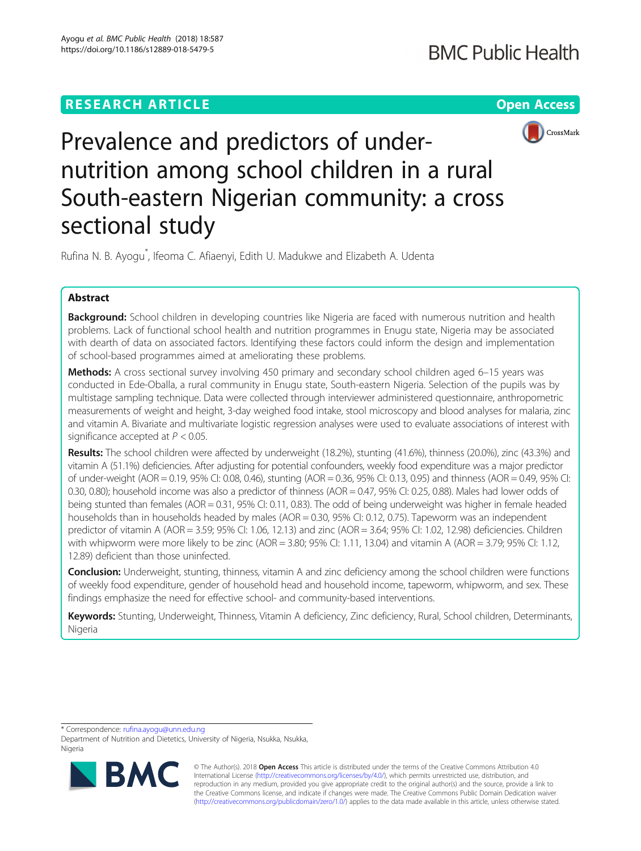# **RESEARCH ARTICLE Example 2014 12:30 The Open Access**



Prevalence and predictors of undernutrition among school children in a rural South-eastern Nigerian community: a cross sectional study

Rufina N. B. Ayogu\* , Ifeoma C. Afiaenyi, Edith U. Madukwe and Elizabeth A. Udenta

## Abstract

Background: School children in developing countries like Nigeria are faced with numerous nutrition and health problems. Lack of functional school health and nutrition programmes in Enugu state, Nigeria may be associated with dearth of data on associated factors. Identifying these factors could inform the design and implementation of school-based programmes aimed at ameliorating these problems.

Methods: A cross sectional survey involving 450 primary and secondary school children aged 6-15 years was conducted in Ede-Oballa, a rural community in Enugu state, South-eastern Nigeria. Selection of the pupils was by multistage sampling technique. Data were collected through interviewer administered questionnaire, anthropometric measurements of weight and height, 3-day weighed food intake, stool microscopy and blood analyses for malaria, zinc and vitamin A. Bivariate and multivariate logistic regression analyses were used to evaluate associations of interest with significance accepted at  $P < 0.05$ .

Results: The school children were affected by underweight (18.2%), stunting (41.6%), thinness (20.0%), zinc (43.3%) and vitamin A (51.1%) deficiencies. After adjusting for potential confounders, weekly food expenditure was a major predictor of under-weight (AOR = 0.19, 95% CI: 0.08, 0.46), stunting (AOR = 0.36, 95% CI: 0.13, 0.95) and thinness (AOR = 0.49, 95% CI: 0.30, 0.80); household income was also a predictor of thinness (AOR = 0.47, 95% CI: 0.25, 0.88). Males had lower odds of being stunted than females (AOR = 0.31, 95% CI: 0.11, 0.83). The odd of being underweight was higher in female headed households than in households headed by males (AOR = 0.30, 95% CI: 0.12, 0.75). Tapeworm was an independent predictor of vitamin A (AOR = 3.59; 95% CI: 1.06, 12.13) and zinc (AOR = 3.64; 95% CI: 1.02, 12.98) deficiencies. Children with whipworm were more likely to be zinc (AOR = 3.80; 95% CI: 1.11, 13.04) and vitamin A (AOR = 3.79; 95% CI: 1.12, 12.89) deficient than those uninfected.

**Conclusion:** Underweight, stunting, thinness, vitamin A and zinc deficiency among the school children were functions of weekly food expenditure, gender of household head and household income, tapeworm, whipworm, and sex. These findings emphasize the need for effective school- and community-based interventions.

Keywords: Stunting, Underweight, Thinness, Vitamin A deficiency, Zinc deficiency, Rural, School children, Determinants, Nigeria

\* Correspondence: [rufina.ayogu@unn.edu.ng](mailto:rufina.ayogu@unn.edu.ng)

Department of Nutrition and Dietetics, University of Nigeria, Nsukka, Nsukka, Nigeria



© The Author(s). 2018 Open Access This article is distributed under the terms of the Creative Commons Attribution 4.0 International License [\(http://creativecommons.org/licenses/by/4.0/](http://creativecommons.org/licenses/by/4.0/)), which permits unrestricted use, distribution, and reproduction in any medium, provided you give appropriate credit to the original author(s) and the source, provide a link to the Creative Commons license, and indicate if changes were made. The Creative Commons Public Domain Dedication waiver [\(http://creativecommons.org/publicdomain/zero/1.0/](http://creativecommons.org/publicdomain/zero/1.0/)) applies to the data made available in this article, unless otherwise stated.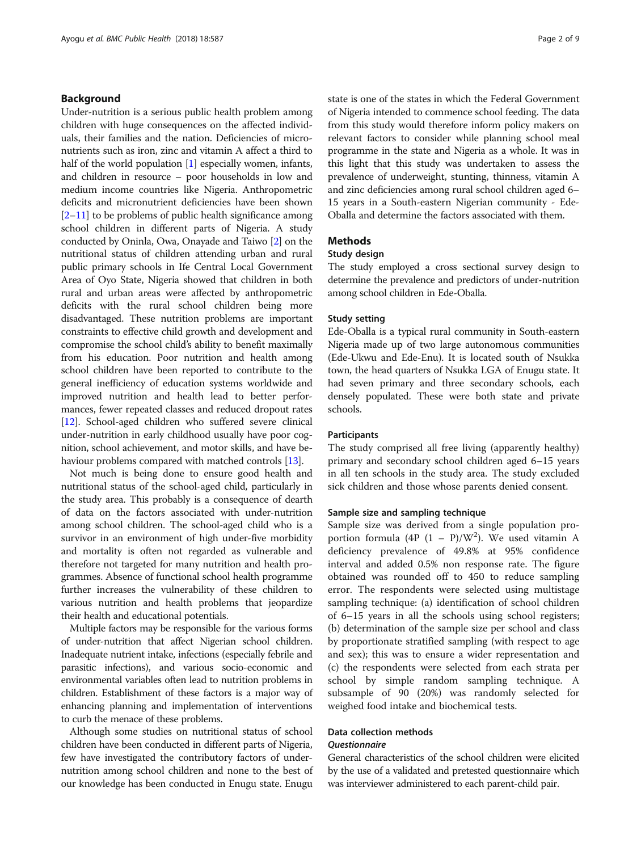### Background

Under-nutrition is a serious public health problem among children with huge consequences on the affected individuals, their families and the nation. Deficiencies of micronutrients such as iron, zinc and vitamin A affect a third to half of the world population [\[1](#page-7-0)] especially women, infants, and children in resource – poor households in low and medium income countries like Nigeria. Anthropometric deficits and micronutrient deficiencies have been shown  $[2-11]$  $[2-11]$  $[2-11]$  $[2-11]$  $[2-11]$  to be problems of public health significance among school children in different parts of Nigeria. A study conducted by Oninla, Owa, Onayade and Taiwo [\[2](#page-7-0)] on the nutritional status of children attending urban and rural public primary schools in Ife Central Local Government Area of Oyo State, Nigeria showed that children in both rural and urban areas were affected by anthropometric deficits with the rural school children being more disadvantaged. These nutrition problems are important constraints to effective child growth and development and compromise the school child's ability to benefit maximally from his education. Poor nutrition and health among school children have been reported to contribute to the general inefficiency of education systems worldwide and improved nutrition and health lead to better performances, fewer repeated classes and reduced dropout rates [[12](#page-8-0)]. School-aged children who suffered severe clinical under-nutrition in early childhood usually have poor cognition, school achievement, and motor skills, and have behaviour problems compared with matched controls [\[13](#page-8-0)].

Not much is being done to ensure good health and nutritional status of the school-aged child, particularly in the study area. This probably is a consequence of dearth of data on the factors associated with under-nutrition among school children. The school-aged child who is a survivor in an environment of high under-five morbidity and mortality is often not regarded as vulnerable and therefore not targeted for many nutrition and health programmes. Absence of functional school health programme further increases the vulnerability of these children to various nutrition and health problems that jeopardize their health and educational potentials.

Multiple factors may be responsible for the various forms of under-nutrition that affect Nigerian school children. Inadequate nutrient intake, infections (especially febrile and parasitic infections), and various socio-economic and environmental variables often lead to nutrition problems in children. Establishment of these factors is a major way of enhancing planning and implementation of interventions to curb the menace of these problems.

Although some studies on nutritional status of school children have been conducted in different parts of Nigeria, few have investigated the contributory factors of undernutrition among school children and none to the best of our knowledge has been conducted in Enugu state. Enugu state is one of the states in which the Federal Government of Nigeria intended to commence school feeding. The data from this study would therefore inform policy makers on relevant factors to consider while planning school meal programme in the state and Nigeria as a whole. It was in this light that this study was undertaken to assess the prevalence of underweight, stunting, thinness, vitamin A and zinc deficiencies among rural school children aged 6– 15 years in a South-eastern Nigerian community - Ede-Oballa and determine the factors associated with them.

### **Methods**

### Study design

The study employed a cross sectional survey design to determine the prevalence and predictors of under-nutrition among school children in Ede-Oballa.

#### Study setting

Ede-Oballa is a typical rural community in South-eastern Nigeria made up of two large autonomous communities (Ede-Ukwu and Ede-Enu). It is located south of Nsukka town, the head quarters of Nsukka LGA of Enugu state. It had seven primary and three secondary schools, each densely populated. These were both state and private schools.

#### **Participants**

The study comprised all free living (apparently healthy) primary and secondary school children aged 6–15 years in all ten schools in the study area. The study excluded sick children and those whose parents denied consent.

#### Sample size and sampling technique

Sample size was derived from a single population proportion formula (4P  $(1 - P)/W^2$ ). We used vitamin A deficiency prevalence of 49.8% at 95% confidence interval and added 0.5% non response rate. The figure obtained was rounded off to 450 to reduce sampling error. The respondents were selected using multistage sampling technique: (a) identification of school children of 6–15 years in all the schools using school registers; (b) determination of the sample size per school and class by proportionate stratified sampling (with respect to age and sex); this was to ensure a wider representation and (c) the respondents were selected from each strata per school by simple random sampling technique. A subsample of 90 (20%) was randomly selected for weighed food intake and biochemical tests.

## Data collection methods

#### **Ouestionnaire**

General characteristics of the school children were elicited by the use of a validated and pretested questionnaire which was interviewer administered to each parent-child pair.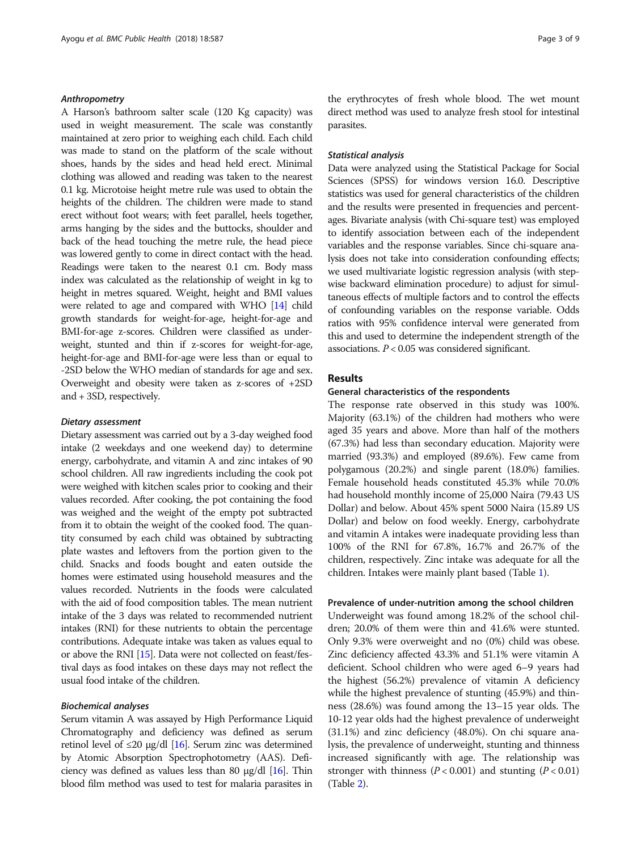#### Anthropometry

A Harson's bathroom salter scale (120 Kg capacity) was used in weight measurement. The scale was constantly maintained at zero prior to weighing each child. Each child was made to stand on the platform of the scale without shoes, hands by the sides and head held erect. Minimal clothing was allowed and reading was taken to the nearest 0.1 kg. Microtoise height metre rule was used to obtain the heights of the children. The children were made to stand erect without foot wears; with feet parallel, heels together, arms hanging by the sides and the buttocks, shoulder and back of the head touching the metre rule, the head piece was lowered gently to come in direct contact with the head. Readings were taken to the nearest 0.1 cm. Body mass index was calculated as the relationship of weight in kg to height in metres squared. Weight, height and BMI values were related to age and compared with WHO [[14](#page-8-0)] child growth standards for weight-for-age, height-for-age and BMI-for-age z-scores. Children were classified as underweight, stunted and thin if z-scores for weight-for-age, height-for-age and BMI-for-age were less than or equal to -2SD below the WHO median of standards for age and sex. Overweight and obesity were taken as z-scores of +2SD and + 3SD, respectively.

### Dietary assessment

Dietary assessment was carried out by a 3-day weighed food intake (2 weekdays and one weekend day) to determine energy, carbohydrate, and vitamin A and zinc intakes of 90 school children. All raw ingredients including the cook pot were weighed with kitchen scales prior to cooking and their values recorded. After cooking, the pot containing the food was weighed and the weight of the empty pot subtracted from it to obtain the weight of the cooked food. The quantity consumed by each child was obtained by subtracting plate wastes and leftovers from the portion given to the child. Snacks and foods bought and eaten outside the homes were estimated using household measures and the values recorded. Nutrients in the foods were calculated with the aid of food composition tables. The mean nutrient intake of the 3 days was related to recommended nutrient intakes (RNI) for these nutrients to obtain the percentage contributions. Adequate intake was taken as values equal to or above the RNI [\[15](#page-8-0)]. Data were not collected on feast/festival days as food intakes on these days may not reflect the usual food intake of the children.

### Biochemical analyses

Serum vitamin A was assayed by High Performance Liquid Chromatography and deficiency was defined as serum retinol level of  $\leq$ 20 μg/dl [\[16](#page-8-0)]. Serum zinc was determined by Atomic Absorption Spectrophotometry (AAS). Deficiency was defined as values less than 80  $\mu$ g/dl [\[16\]](#page-8-0). Thin blood film method was used to test for malaria parasites in the erythrocytes of fresh whole blood. The wet mount direct method was used to analyze fresh stool for intestinal parasites.

#### Statistical analysis

Data were analyzed using the Statistical Package for Social Sciences (SPSS) for windows version 16.0. Descriptive statistics was used for general characteristics of the children and the results were presented in frequencies and percentages. Bivariate analysis (with Chi-square test) was employed to identify association between each of the independent variables and the response variables. Since chi-square analysis does not take into consideration confounding effects; we used multivariate logistic regression analysis (with stepwise backward elimination procedure) to adjust for simultaneous effects of multiple factors and to control the effects of confounding variables on the response variable. Odds ratios with 95% confidence interval were generated from this and used to determine the independent strength of the associations.  $P < 0.05$  was considered significant.

### Results

### General characteristics of the respondents

The response rate observed in this study was 100%. Majority (63.1%) of the children had mothers who were aged 35 years and above. More than half of the mothers (67.3%) had less than secondary education. Majority were married (93.3%) and employed (89.6%). Few came from polygamous (20.2%) and single parent (18.0%) families. Female household heads constituted 45.3% while 70.0% had household monthly income of 25,000 Naira (79.43 US Dollar) and below. About 45% spent 5000 Naira (15.89 US Dollar) and below on food weekly. Energy, carbohydrate and vitamin A intakes were inadequate providing less than 100% of the RNI for 67.8%, 16.7% and 26.7% of the children, respectively. Zinc intake was adequate for all the children. Intakes were mainly plant based (Table [1](#page-3-0)).

#### Prevalence of under-nutrition among the school children

Underweight was found among 18.2% of the school children; 20.0% of them were thin and 41.6% were stunted. Only 9.3% were overweight and no (0%) child was obese. Zinc deficiency affected 43.3% and 51.1% were vitamin A deficient. School children who were aged 6–9 years had the highest (56.2%) prevalence of vitamin A deficiency while the highest prevalence of stunting (45.9%) and thinness (28.6%) was found among the 13–15 year olds. The 10-12 year olds had the highest prevalence of underweight (31.1%) and zinc deficiency (48.0%). On chi square analysis, the prevalence of underweight, stunting and thinness increased significantly with age. The relationship was stronger with thinness ( $P < 0.001$ ) and stunting ( $P < 0.01$ ) (Table [2\)](#page-4-0).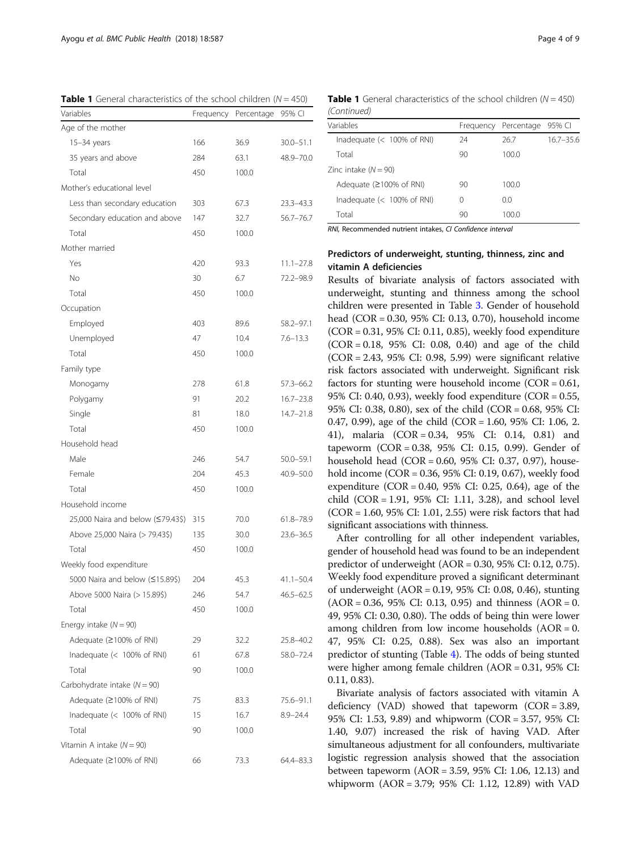| Variables                         | Frequency | Percentage | 95% CI        |
|-----------------------------------|-----------|------------|---------------|
| Age of the mother                 |           |            |               |
| 15-34 years                       | 166       | 36.9       | $30.0 - 51.1$ |
| 35 years and above                | 284       | 63.1       | 48.9-70.0     |
| Total                             | 450       | 100.0      |               |
| Mother's educational level        |           |            |               |
| Less than secondary education     | 303       | 67.3       | 23.3-43.3     |
| Secondary education and above     | 147       | 32.7       | $56.7 - 76.7$ |
| Total                             | 450       | 100.0      |               |
| Mother married                    |           |            |               |
| Yes                               | 420       | 93.3       | $11.1 - 27.8$ |
| No                                | 30        | 6.7        | 72.2-98.9     |
| Total                             | 450       | 100.0      |               |
| Occupation                        |           |            |               |
| Employed                          | 403       | 89.6       | 58.2-97.1     |
| Unemployed                        | 47        | 10.4       | $7.6 - 13.3$  |
| Total                             | 450       | 100.0      |               |
| Family type                       |           |            |               |
| Monogamy                          | 278       | 61.8       | $57.3 - 66.2$ |
| Polygamy                          | 91        | 20.2       | $16.7 - 23.8$ |
| Single                            | 81        | 18.0       | 14.7-21.8     |
| Total                             | 450       | 100.0      |               |
| Household head                    |           |            |               |
| Male                              | 246       | 54.7       | 50.0-59.1     |
| Female                            | 204       | 45.3       | 40.9-50.0     |
| Total                             | 450       | 100.0      |               |
| Household income                  |           |            |               |
| 25,000 Naira and below (≤79.43\$) | 315       | 70.0       | 61.8-78.9     |
| Above 25,000 Naira (> 79.43\$)    | 135       | 30.0       | $23.6 - 36.5$ |
| Total                             | 450       | 100.0      |               |
| Weekly food expenditure           |           |            |               |
| 5000 Naira and below (≤15.89\$)   | 204       | 45.3       | $41.1 - 50.4$ |
| Above 5000 Naira (> 15.89\$)      | 246       | 54.7       | $46.5 - 62.5$ |
| Total                             | 450       | 100.0      |               |
| Energy intake $(N = 90)$          |           |            |               |
| Adequate (≥100% of RNI)           | 29        | 32.2       | 25.8-40.2     |
| Inadequate $(< 100\%$ of RNI)     | 61        | 67.8       | 58.0-72.4     |
| Total                             | 90        | 100.0      |               |
| Carbohydrate intake $(N = 90)$    |           |            |               |
| Adequate (≥100% of RNI)           | 75        | 83.3       | 75.6-91.1     |
| Inadequate $(< 100\%$ of RNI)     | 15        | 16.7       | $8.9 - 24.4$  |
| Total                             | 90        | 100.0      |               |
| Vitamin A intake $(N = 90)$       |           |            |               |
| Adequate $(≥100%$ of RNI)         | 66        | 73.3       | 64.4-83.3     |
|                                   |           |            |               |

<span id="page-3-0"></span>**Table 1** General characteristics of the school children ( $N = 450$ ) **Table 1** General characteristics of the school children ( $N = 450$ )

| (Continued)                        |    |                             |           |
|------------------------------------|----|-----------------------------|-----------|
| Variables                          |    | Frequency Percentage 95% CI |           |
| Inadequate $(< 100\%$ of RNI)      | 24 | 26.7                        | 16.7-35.6 |
| Total                              | 90 | 100.0                       |           |
| Zinc intake $(N = 90)$             |    |                             |           |
| Adequate $(2100\% \text{ of RNI})$ | 90 | 1000                        |           |
| Inadequate $(< 100\%$ of RNI)      | Ω  | 0.0                         |           |
| Total                              | 90 | 1000                        |           |

RNI, Recommended nutrient intakes, CI Confidence interval

### Predictors of underweight, stunting, thinness, zinc and vitamin A deficiencies

Results of bivariate analysis of factors associated with underweight, stunting and thinness among the school children were presented in Table [3.](#page-5-0) Gender of household head (COR = 0.30, 95% CI: 0.13, 0.70), household income  $(COR = 0.31, 95\% \text{ CI: } 0.11, 0.85)$ , weekly food expenditure (COR = 0.18, 95% CI: 0.08, 0.40) and age of the child (COR = 2.43, 95% CI: 0.98, 5.99) were significant relative risk factors associated with underweight. Significant risk factors for stunting were household income  $(COR = 0.61$ , 95% CI: 0.40, 0.93), weekly food expenditure (COR = 0.55, 95% CI: 0.38, 0.80), sex of the child (COR = 0.68, 95% CI: 0.47, 0.99), age of the child (COR = 1.60, 95% CI: 1.06, 2. 41), malaria (COR = 0.34, 95% CI: 0.14, 0.81) and tapeworm (COR = 0.38, 95% CI: 0.15, 0.99). Gender of household head (COR = 0.60, 95% CI: 0.37, 0.97), household income (COR = 0.36, 95% CI: 0.19, 0.67), weekly food expenditure (COR = 0.40, 95% CI: 0.25, 0.64), age of the child (COR = 1.91, 95% CI: 1.11, 3.28), and school level (COR = 1.60, 95% CI: 1.01, 2.55) were risk factors that had significant associations with thinness.

After controlling for all other independent variables, gender of household head was found to be an independent predictor of underweight (AOR = 0.30, 95% CI: 0.12, 0.75). Weekly food expenditure proved a significant determinant of underweight (AOR = 0.19, 95% CI: 0.08, 0.46), stunting  $(AOR = 0.36, 95\% \text{ CI: } 0.13, 0.95)$  and thinness  $(AOR = 0.15, 0.95)$ 49, 95% CI: 0.30, 0.80). The odds of being thin were lower among children from low income households (AOR = 0. 47, 95% CI: 0.25, 0.88). Sex was also an important predictor of stunting (Table [4\)](#page-6-0). The odds of being stunted were higher among female children (AOR = 0.31, 95% CI: 0.11, 0.83).

Bivariate analysis of factors associated with vitamin A deficiency (VAD) showed that tapeworm (COR = 3.89, 95% CI: 1.53, 9.89) and whipworm (COR = 3.57, 95% CI: 1.40, 9.07) increased the risk of having VAD. After simultaneous adjustment for all confounders, multivariate logistic regression analysis showed that the association between tapeworm (AOR = 3.59, 95% CI: 1.06, 12.13) and whipworm (AOR = 3.79; 95% CI: 1.12, 12.89) with VAD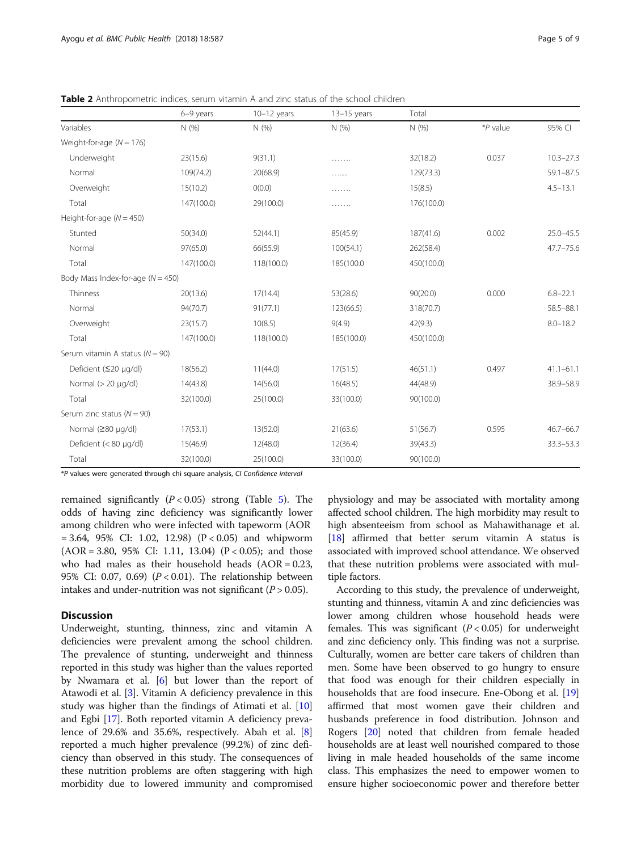|                                       | 6-9 years  | $10-12$ years | $13-15$ years | Total      |          |               |
|---------------------------------------|------------|---------------|---------------|------------|----------|---------------|
| Variables                             | N (%)      | N(%)          | N(%)          | N (%)      | *P value | 95% CI        |
| Weight-for-age $(N = 176)$            |            |               |               |            |          |               |
| Underweight                           | 23(15.6)   | 9(31.1)       | .             | 32(18.2)   | 0.037    | $10.3 - 27.3$ |
| Normal                                | 109(74.2)  | 20(68.9)      | .             | 129(73.3)  |          | $59.1 - 87.5$ |
| Overweight                            | 15(10.2)   | O(0.0)        | .             | 15(8.5)    |          | $4.5 - 13.1$  |
| Total                                 | 147(100.0) | 29(100.0)     | .             | 176(100.0) |          |               |
| Height-for-age $(N = 450)$            |            |               |               |            |          |               |
| Stunted                               | 50(34.0)   | 52(44.1)      | 85(45.9)      | 187(41.6)  | 0.002    | $25.0 - 45.5$ |
| Normal                                | 97(65.0)   | 66(55.9)      | 100(54.1)     | 262(58.4)  |          | $47.7 - 75.6$ |
| Total                                 | 147(100.0) | 118(100.0)    | 185(100.0     | 450(100.0) |          |               |
| Body Mass Index-for-age ( $N = 450$ ) |            |               |               |            |          |               |
| Thinness                              | 20(13.6)   | 17(14.4)      | 53(28.6)      | 90(20.0)   | 0.000    | $6.8 - 22.1$  |
| Normal                                | 94(70.7)   | 91(77.1)      | 123(66.5)     | 318(70.7)  |          | $58.5 - 88.1$ |
| Overweight                            | 23(15.7)   | 10(8.5)       | 9(4.9)        | 42(9.3)    |          | $8.0 - 18.2$  |
| Total                                 | 147(100.0) | 118(100.0)    | 185(100.0)    | 450(100.0) |          |               |
| Serum vitamin A status ( $N = 90$ )   |            |               |               |            |          |               |
| Deficient (≤20 µg/dl)                 | 18(56.2)   | 11(44.0)      | 17(51.5)      | 46(51.1)   | 0.497    | $41.1 - 61.1$ |
| Normal $(>20 \mu q/d)$                | 14(43.8)   | 14(56.0)      | 16(48.5)      | 44(48.9)   |          | 38.9-58.9     |
| Total                                 | 32(100.0)  | 25(100.0)     | 33(100.0)     | 90(100.0)  |          |               |
| Serum zinc status ( $N = 90$ )        |            |               |               |            |          |               |
| Normal (≥80 µg/dl)                    | 17(53.1)   | 13(52.0)      | 21(63.6)      | 51(56.7)   | 0.595    | $46.7 - 66.7$ |
| Deficient (< 80 µg/dl)                | 15(46.9)   | 12(48.0)      | 12(36.4)      | 39(43.3)   |          | $33.3 - 53.3$ |
| Total                                 | 32(100.0)  | 25(100.0)     | 33(100.0)     | 90(100.0)  |          |               |

<span id="page-4-0"></span>Table 2 Anthropometric indices, serum vitamin A and zinc status of the school children

\*P values were generated through chi square analysis, CI Confidence interval

remained significantly  $(P < 0.05)$  $(P < 0.05)$  strong (Table 5). The odds of having zinc deficiency was significantly lower among children who were infected with tapeworm (AOR  $= 3.64$ , 95% CI: 1.02, 12.98) (P < 0.05) and whipworm  $(AOR = 3.80, 95\% \text{ CI: } 1.11, 13.04)$   $(P < 0.05)$ ; and those who had males as their household heads  $(AOR = 0.23,$ 95% CI: 0.07, 0.69) ( $P < 0.01$ ). The relationship between intakes and under-nutrition was not significant  $(P > 0.05)$ .

### **Discussion**

Underweight, stunting, thinness, zinc and vitamin A deficiencies were prevalent among the school children. The prevalence of stunting, underweight and thinness reported in this study was higher than the values reported by Nwamara et al. [\[6\]](#page-8-0) but lower than the report of Atawodi et al. [[3](#page-7-0)]. Vitamin A deficiency prevalence in this study was higher than the findings of Atimati et al. [[10](#page-8-0)] and Egbi [\[17\]](#page-8-0). Both reported vitamin A deficiency prevalence of 29.6% and 35.6%, respectively. Abah et al. [[8](#page-8-0)] reported a much higher prevalence (99.2%) of zinc deficiency than observed in this study. The consequences of these nutrition problems are often staggering with high morbidity due to lowered immunity and compromised

physiology and may be associated with mortality among affected school children. The high morbidity may result to high absenteeism from school as Mahawithanage et al. [[18](#page-8-0)] affirmed that better serum vitamin A status is associated with improved school attendance. We observed that these nutrition problems were associated with multiple factors.

According to this study, the prevalence of underweight, stunting and thinness, vitamin A and zinc deficiencies was lower among children whose household heads were females. This was significant  $(P < 0.05)$  for underweight and zinc deficiency only. This finding was not a surprise. Culturally, women are better care takers of children than men. Some have been observed to go hungry to ensure that food was enough for their children especially in households that are food insecure. Ene-Obong et al. [[19](#page-8-0)] affirmed that most women gave their children and husbands preference in food distribution. Johnson and Rogers [\[20](#page-8-0)] noted that children from female headed households are at least well nourished compared to those living in male headed households of the same income class. This emphasizes the need to empower women to ensure higher socioeconomic power and therefore better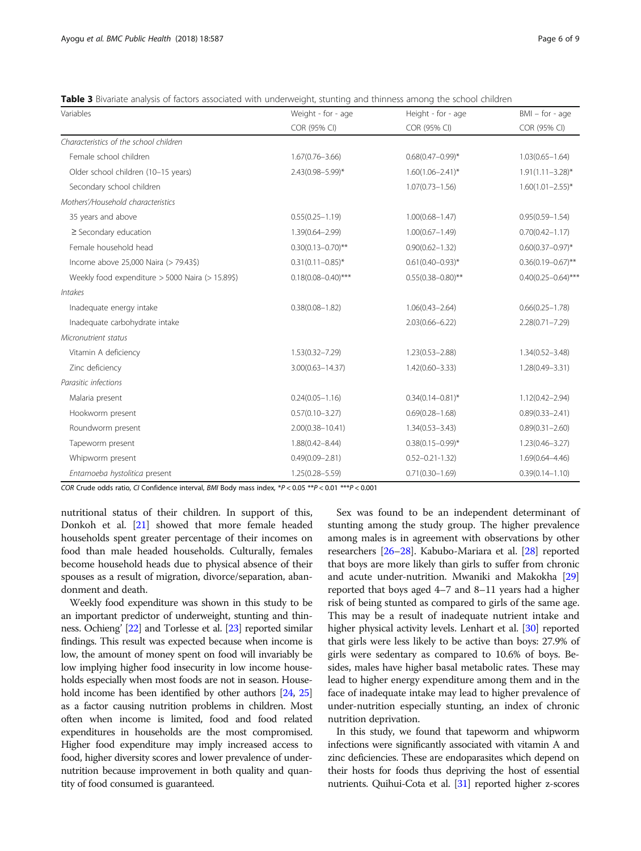<span id="page-5-0"></span>Table 3 Bivariate analysis of factors associated with underweight, stunting and thinness among the school children

| Variables                                        | Weight - for - age      | Height - for - age     | $BMI - for - age$       |  |
|--------------------------------------------------|-------------------------|------------------------|-------------------------|--|
|                                                  | COR (95% CI)            | COR (95% CI)           | COR (95% CI)            |  |
| Characteristics of the school children           |                         |                        |                         |  |
| Female school children                           | $1.67(0.76 - 3.66)$     | $0.68(0.47 - 0.99)$ *  | $1.03(0.65 - 1.64)$     |  |
| Older school children (10-15 years)              | 2.43(0.98-5.99)*        | $1.60(1.06 - 2.41)^*$  | $1.91(1.11 - 3.28)^{*}$ |  |
| Secondary school children                        |                         | $1.07(0.73 - 1.56)$    | $1.60(1.01 - 2.55)^*$   |  |
| Mothers'/Household characteristics               |                         |                        |                         |  |
| 35 years and above                               | $0.55(0.25 - 1.19)$     | $1.00(0.68 - 1.47)$    | $0.95(0.59 - 1.54)$     |  |
| $\geq$ Secondary education                       | $1.39(0.64 - 2.99)$     | $1.00(0.67 - 1.49)$    | $0.70(0.42 - 1.17)$     |  |
| Female household head                            | $0.30(0.13 - 0.70)$ **  | $0.90(0.62 - 1.32)$    | $0.60(0.37 - 0.97)^*$   |  |
| Income above 25,000 Naira (> 79.43\$)            | $0.31(0.11 - 0.85)^*$   | $0.61(0.40 - 0.93)^*$  | $0.36(0.19 - 0.67)$ **  |  |
| Weekly food expenditure > 5000 Naira (> 15.89\$) | $0.18(0.08 - 0.40)$ *** | $0.55(0.38 - 0.80)$ ** | $0.40(0.25 - 0.64)$ *** |  |
| Intakes                                          |                         |                        |                         |  |
| Inadequate energy intake                         | $0.38(0.08 - 1.82)$     | $1.06(0.43 - 2.64)$    | $0.66(0.25 - 1.78)$     |  |
| Inadequate carbohydrate intake                   |                         | $2.03(0.66 - 6.22)$    | $2.28(0.71 - 7.29)$     |  |
| Micronutrient status                             |                         |                        |                         |  |
| Vitamin A deficiency                             | $1.53(0.32 - 7.29)$     | $1.23(0.53 - 2.88)$    | $1.34(0.52 - 3.48)$     |  |
| Zinc deficiency                                  | $3.00(0.63 - 14.37)$    | $1.42(0.60 - 3.33)$    | $1.28(0.49 - 3.31)$     |  |
| Parasitic infections                             |                         |                        |                         |  |
| Malaria present                                  | $0.24(0.05 - 1.16)$     | $0.34(0.14 - 0.81)^*$  | $1.12(0.42 - 2.94)$     |  |
| Hookworm present                                 | $0.57(0.10 - 3.27)$     | $0.69(0.28 - 1.68)$    | $0.89(0.33 - 2.41)$     |  |
| Roundworm present                                | $2.00(0.38 - 10.41)$    | $1.34(0.53 - 3.43)$    | $0.89(0.31 - 2.60)$     |  |
| Tapeworm present                                 | $1.88(0.42 - 8.44)$     | $0.38(0.15 - 0.99)^*$  | $1.23(0.46 - 3.27)$     |  |
| Whipworm present                                 | $0.49(0.09 - 2.81)$     | $0.52 - 0.21 - 1.32$   | $1.69(0.64 - 4.46)$     |  |
| Entamoeba hystolitica present                    | $1.25(0.28 - 5.59)$     | $0.71(0.30 - 1.69)$    | $0.39(0.14 - 1.10)$     |  |

COR Crude odds ratio, CI Confidence interval, BMI Body mass index, \*P < 0.05 \*\*P < 0.01 \*\*\*P < 0.001

nutritional status of their children. In support of this, Donkoh et al. [\[21](#page-8-0)] showed that more female headed households spent greater percentage of their incomes on food than male headed households. Culturally, females become household heads due to physical absence of their spouses as a result of migration, divorce/separation, abandonment and death.

Weekly food expenditure was shown in this study to be an important predictor of underweight, stunting and thinness. Ochieng' [\[22\]](#page-8-0) and Torlesse et al. [\[23\]](#page-8-0) reported similar findings. This result was expected because when income is low, the amount of money spent on food will invariably be low implying higher food insecurity in low income households especially when most foods are not in season. Household income has been identified by other authors [\[24](#page-8-0), [25](#page-8-0)] as a factor causing nutrition problems in children. Most often when income is limited, food and food related expenditures in households are the most compromised. Higher food expenditure may imply increased access to food, higher diversity scores and lower prevalence of undernutrition because improvement in both quality and quantity of food consumed is guaranteed.

Sex was found to be an independent determinant of stunting among the study group. The higher prevalence among males is in agreement with observations by other researchers [[26](#page-8-0)–[28\]](#page-8-0). Kabubo-Mariara et al. [[28](#page-8-0)] reported that boys are more likely than girls to suffer from chronic and acute under-nutrition. Mwaniki and Makokha [[29](#page-8-0)] reported that boys aged 4–7 and 8–11 years had a higher risk of being stunted as compared to girls of the same age. This may be a result of inadequate nutrient intake and higher physical activity levels. Lenhart et al. [\[30\]](#page-8-0) reported that girls were less likely to be active than boys: 27.9% of girls were sedentary as compared to 10.6% of boys. Besides, males have higher basal metabolic rates. These may lead to higher energy expenditure among them and in the face of inadequate intake may lead to higher prevalence of under-nutrition especially stunting, an index of chronic nutrition deprivation.

In this study, we found that tapeworm and whipworm infections were significantly associated with vitamin A and zinc deficiencies. These are endoparasites which depend on their hosts for foods thus depriving the host of essential nutrients. Quihui-Cota et al. [\[31\]](#page-8-0) reported higher z-scores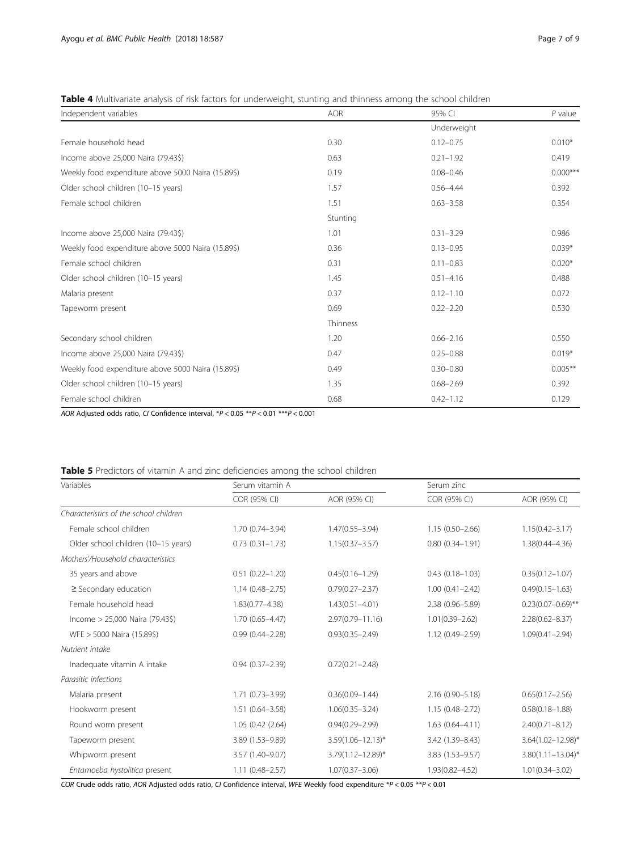### <span id="page-6-0"></span>Table 4 Multivariate analysis of risk factors for underweight, stunting and thinness among the school children

| Independent variables                              | <b>AOR</b> | 95% CI        | $P$ value  |
|----------------------------------------------------|------------|---------------|------------|
|                                                    |            | Underweight   |            |
| Female household head                              | 0.30       | $0.12 - 0.75$ | $0.010*$   |
| Income above 25,000 Naira (79.43\$)                | 0.63       | $0.21 - 1.92$ | 0.419      |
| Weekly food expenditure above 5000 Naira (15.89\$) | 0.19       | $0.08 - 0.46$ | $0.000***$ |
| Older school children (10-15 years)                | 1.57       | $0.56 - 4.44$ | 0.392      |
| Female school children                             | 1.51       | $0.63 - 3.58$ | 0.354      |
|                                                    | Stunting   |               |            |
| Income above 25,000 Naira (79.43\$)                | 1.01       | $0.31 - 3.29$ | 0.986      |
| Weekly food expenditure above 5000 Naira (15.89\$) | 0.36       | $0.13 - 0.95$ | $0.039*$   |
| Female school children                             | 0.31       | $0.11 - 0.83$ | $0.020*$   |
| Older school children (10-15 years)                | 1.45       | $0.51 - 4.16$ | 0.488      |
| Malaria present                                    | 0.37       | $0.12 - 1.10$ | 0.072      |
| Tapeworm present                                   | 0.69       | $0.22 - 2.20$ | 0.530      |
|                                                    | Thinness   |               |            |
| Secondary school children                          | 1.20       | $0.66 - 2.16$ | 0.550      |
| Income above 25,000 Naira (79.43\$)                | 0.47       | $0.25 - 0.88$ | $0.019*$   |
| Weekly food expenditure above 5000 Naira (15.89\$) | 0.49       | $0.30 - 0.80$ | $0.005**$  |
| Older school children (10-15 years)                | 1.35       | $0.68 - 2.69$ | 0.392      |
| Female school children                             | 0.68       | $0.42 - 1.12$ | 0.129      |

AOR Adjusted odds ratio, CI Confidence interval, \*P < 0.05 \*\*P < 0.01 \*\*\*P < 0.001

### Table 5 Predictors of vitamin A and zinc deficiencies among the school children

| Variables                              | Serum vitamin A     |                        | Serum zinc          |                        |  |
|----------------------------------------|---------------------|------------------------|---------------------|------------------------|--|
|                                        | COR (95% CI)        | AOR (95% CI)           | COR (95% CI)        | AOR (95% CI)           |  |
| Characteristics of the school children |                     |                        |                     |                        |  |
| Female school children                 | 1.70 (0.74-3.94)    | 1.47(0.55-3.94)        | $1.15(0.50 - 2.66)$ | $1.15(0.42 - 3.17)$    |  |
| Older school children (10-15 years)    | $0.73(0.31 - 1.73)$ | $1.15(0.37 - 3.57)$    | $0.80(0.34 - 1.91)$ | $1.38(0.44 - 4.36)$    |  |
| Mothers'/Household characteristics     |                     |                        |                     |                        |  |
| 35 years and above                     | $0.51(0.22 - 1.20)$ | $0.45(0.16 - 1.29)$    | $0.43(0.18 - 1.03)$ | $0.35(0.12 - 1.07)$    |  |
| $\geq$ Secondary education             | $1.14(0.48 - 2.75)$ | $0.79(0.27 - 2.37)$    | $1.00(0.41 - 2.42)$ | $0.49(0.15 - 1.63)$    |  |
| Female household head                  | $1.83(0.77 - 4.38)$ | $1.43(0.51 - 4.01)$    | 2.38 (0.96-5.89)    | $0.23(0.07 - 0.69)$ ** |  |
| Income > 25,000 Naira (79.43\$)        | $1.70(0.65 - 4.47)$ | $2.97(0.79 - 11.16)$   | $1.01(0.39 - 2.62)$ | $2.28(0.62 - 8.37)$    |  |
| WFE > 5000 Naira (15.89\$)             | $0.99(0.44 - 2.28)$ | $0.93(0.35 - 2.49)$    | $1.12(0.49 - 2.59)$ | $1.09(0.41 - 2.94)$    |  |
| Nutrient intake                        |                     |                        |                     |                        |  |
| Inadequate vitamin A intake            | $0.94(0.37 - 2.39)$ | $0.72(0.21 - 2.48)$    |                     |                        |  |
| Parasitic infections                   |                     |                        |                     |                        |  |
| Malaria present                        | $1.71(0.73 - 3.99)$ | $0.36(0.09 - 1.44)$    | 2.16 (0.90-5.18)    | $0.65(0.17 - 2.56)$    |  |
| Hookworm present                       | $1.51(0.64 - 3.58)$ | $1.06(0.35 - 3.24)$    | $1.15(0.48 - 2.72)$ | $0.58(0.18 - 1.88)$    |  |
| Round worm present                     | 1.05 (0.42 (2.64)   | $0.94(0.29 - 2.99)$    | $1.63(0.64 - 4.11)$ | $2.40(0.71 - 8.12)$    |  |
| Tapeworm present                       | 3.89 (1.53-9.89)    | $3.59(1.06 - 12.13)^*$ | 3.42 (1.39-8.43)    | 3.64(1.02-12.98)*      |  |
| Whipworm present                       | 3.57 (1.40-9.07)    | $3.79(1.12 - 12.89)^*$ | 3.83 (1.53-9.57)    | $3.80(1.11 - 13.04)^*$ |  |
| Entamoeba hystolitica present          | $1.11(0.48 - 2.57)$ | $1.07(0.37 - 3.06)$    | 1.93(0.82-4.52)     | $1.01(0.34 - 3.02)$    |  |

COR Crude odds ratio, AOR Adjusted odds ratio, CI Confidence interval, WFE Weekly food expenditure \*P < 0.05 \*\*P < 0.01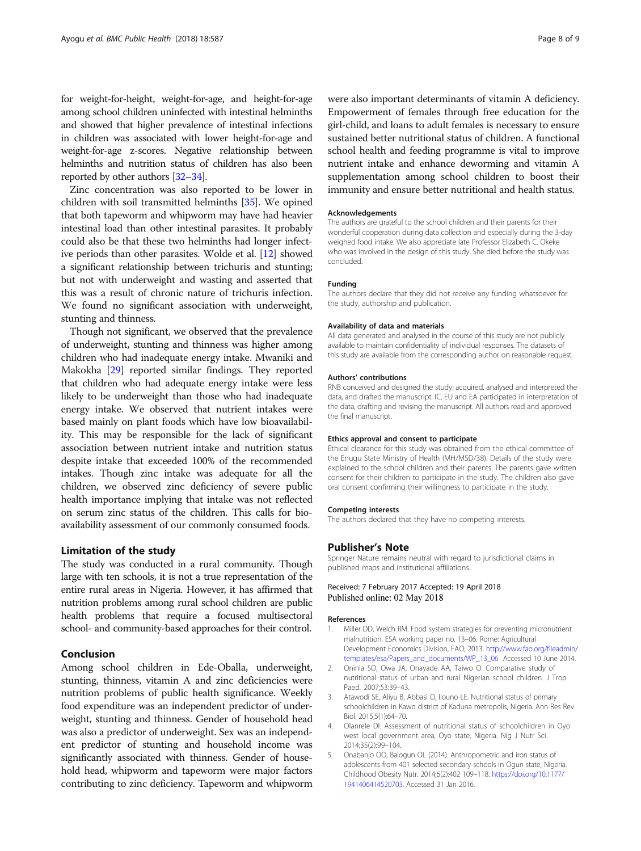<span id="page-7-0"></span>for weight-for-height, weight-for-age, and height-for-age among school children uninfected with intestinal helminths and showed that higher prevalence of intestinal infections in children was associated with lower height-for-age and weight-for-age z-scores. Negative relationship between helminths and nutrition status of children has also been reported by other authors [\[32](#page-8-0)–[34\]](#page-8-0).

Zinc concentration was also reported to be lower in children with soil transmitted helminths [\[35\]](#page-8-0). We opined that both tapeworm and whipworm may have had heavier intestinal load than other intestinal parasites. It probably could also be that these two helminths had longer infective periods than other parasites. Wolde et al. [\[12](#page-8-0)] showed a significant relationship between trichuris and stunting; but not with underweight and wasting and asserted that this was a result of chronic nature of trichuris infection. We found no significant association with underweight, stunting and thinness.

Though not significant, we observed that the prevalence of underweight, stunting and thinness was higher among children who had inadequate energy intake. Mwaniki and Makokha [\[29](#page-8-0)] reported similar findings. They reported that children who had adequate energy intake were less likely to be underweight than those who had inadequate energy intake. We observed that nutrient intakes were based mainly on plant foods which have low bioavailability. This may be responsible for the lack of significant association between nutrient intake and nutrition status despite intake that exceeded 100% of the recommended intakes. Though zinc intake was adequate for all the children, we observed zinc deficiency of severe public health importance implying that intake was not reflected on serum zinc status of the children. This calls for bioavailability assessment of our commonly consumed foods.

### Limitation of the study

The study was conducted in a rural community. Though large with ten schools, it is not a true representation of the entire rural areas in Nigeria. However, it has affirmed that nutrition problems among rural school children are public health problems that require a focused multisectoral school- and community-based approaches for their control.

### Conclusion

Among school children in Ede-Oballa, underweight, stunting, thinness, vitamin A and zinc deficiencies were nutrition problems of public health significance. Weekly food expenditure was an independent predictor of underweight, stunting and thinness. Gender of household head was also a predictor of underweight. Sex was an independent predictor of stunting and household income was significantly associated with thinness. Gender of household head, whipworm and tapeworm were major factors contributing to zinc deficiency. Tapeworm and whipworm

were also important determinants of vitamin A deficiency. Empowerment of females through free education for the girl-child, and loans to adult females is necessary to ensure sustained better nutritional status of children. A functional school health and feeding programme is vital to improve nutrient intake and enhance deworming and vitamin A supplementation among school children to boost their immunity and ensure better nutritional and health status.

#### Acknowledgements

The authors are grateful to the school children and their parents for their wonderful cooperation during data collection and especially during the 3-day weighed food intake. We also appreciate late Professor Elizabeth C. Okeke who was involved in the design of this study. She died before the study was concluded.

#### Funding

The authors declare that they did not receive any funding whatsoever for the study, authorship and publication.

#### Availability of data and materials

All data generated and analysed in the course of this study are not publicly available to maintain confidentiality of individual responses. The datasets of this study are available from the corresponding author on reasonable request.

#### Authors' contributions

RNB conceived and designed the study; acquired, analysed and interpreted the data, and drafted the manuscript. IC, EU and EA participated in interpretation of the data, drafting and revising the manuscript. All authors read and approved the final manuscript.

#### Ethics approval and consent to participate

Ethical clearance for this study was obtained from the ethical committee of the Enugu State Ministry of Health (MH/MSD/38). Details of the study were explained to the school children and their parents. The parents gave written consent for their children to participate in the study. The children also gave oral consent confirming their willingness to participate in the study.

#### Competing interests

The authors declared that they have no competing interests.

#### Publisher's Note

Springer Nature remains neutral with regard to jurisdictional claims in published maps and institutional affiliations.

### Received: 7 February 2017 Accepted: 19 April 2018 Published online: 02 May 2018

#### References

- Miller DD, Welch RM. Food system strategies for preventing micronutrient malnutrition. ESA working paper no. 13–06. Rome: Agricultural Development Economics Division, FAO; 2013. [http://www.fao.org/fileadmin/](http://www.fao.org/fileadmin/templates/esa/Papers_and_documents/WP_13_06_) [templates/esa/Papers\\_and\\_documents/WP\\_13\\_06](http://www.fao.org/fileadmin/templates/esa/Papers_and_documents/WP_13_06_) Accessed 10 June 2014.
- 2. Oninla SO, Owa JA, Onayade AA, Taiwo O. Comparative study of nutritional status of urban and rural Nigerian school children. J Trop Paed. 2007;53:39–43.
- Atawodi SE, Aliyu B, Abbasi O, Ilouno LE. Nutritional status of primary schoolchildren in Kawo district of Kaduna metropolis, Nigeria. Ann Res Rev Biol. 2015;5(1):64–70.
- 4. Olanrele DI. Assessment of nutritional status of schoolchildren in Oyo west local government area, Oyo state, Nigeria. Nig J Nutr Sci. 2014;35(2):99–104.
- 5. Onabanjo OO, Balogun OL (2014). Anthropometric and iron status of adolescents from 401 selected secondary schools in Ogun state, Nigeria. Childhood Obesity Nutr. 2014;6(2):402 109–118. [https://doi.org/10.1177/](https://doi.org/10.1177/1941406414520703) [1941406414520703](https://doi.org/10.1177/1941406414520703). Accessed 31 Jan 2016.